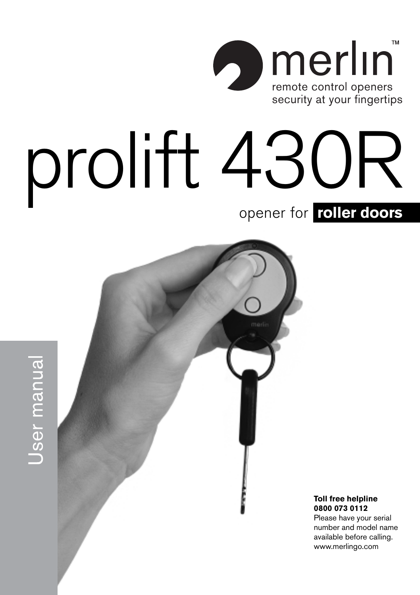

# prolift 430R opener for **roller doors**





Jser manual

**Toll free helpline 0800 073 0112**

Please have your serial number and model name available before calling. www.merlingo.com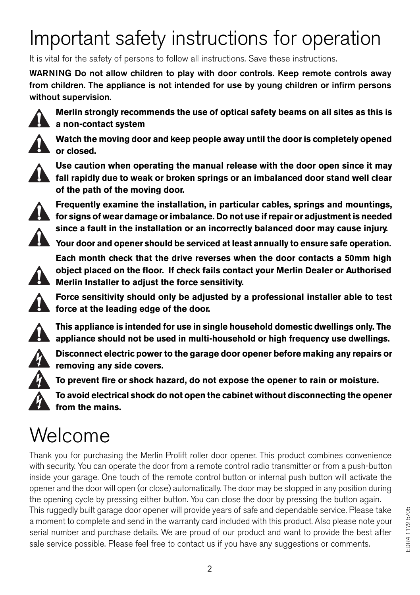### Important safety instructions for operation

It is vital for the safety of persons to follow all instructions. Save these instructions.

**WARNING Do not allow children to play with door controls. Keep remote controls away from children. The appliance is not intended for use by young children or infirm persons without supervision.**



**Merlin strongly recommends the use of optical safety beams on all sites as this is a non-contact system**



**Watch the moving door and keep people away until the door is completely opened or closed.**



**Use caution when operating the manual release with the door open since it may fall rapidly due to weak or broken springs or an imbalanced door stand well clear of the path of the moving door.**



**Frequently examine the installation, in particular cables, springs and mountings, for signs of wear damage or imbalance. Do not use if repair or adjustment is needed since a fault in the installation or an incorrectly balanced door may cause injury.**

**Your door and opener should be serviced at least annually to ensure safe operation.**

**Each month check that the drive reverses when the door contacts a 50mm high object placed on the floor. If check fails contact your Merlin Dealer or Authorised Merlin Installer to adjust the force sensitivity.**



**This appliance is intended for use in single household domestic dwellings only. The appliance should not be used in multi-household or high frequency use dwellings.**



**Disconnect electric power to the garage door opener before making any repairs or removing any side covers.**

**To prevent fire or shock hazard, do not expose the opener to rain or moisture.**

**To avoid electrical shock do not open the cabinet without disconnecting the opener from the mains.**

### Welcome

Thank you for purchasing the Merlin Prolift roller door opener. This product combines convenience with security. You can operate the door from a remote control radio transmitter or from a push-button inside your garage. One touch of the remote control button or internal push button will activate the opener and the door will open (or close) automatically. The door may be stopped in any position during the opening cycle by pressing either button. You can close the door by pressing the button again. This ruggedly built garage door opener will provide years of safe and dependable service. Please take a moment to complete and send in the warranty card included with this product. Also please note your serial number and purchase details. We are proud of our product and want to provide the best after sale service possible. Please feel free to contact us if you have any suggestions or comments.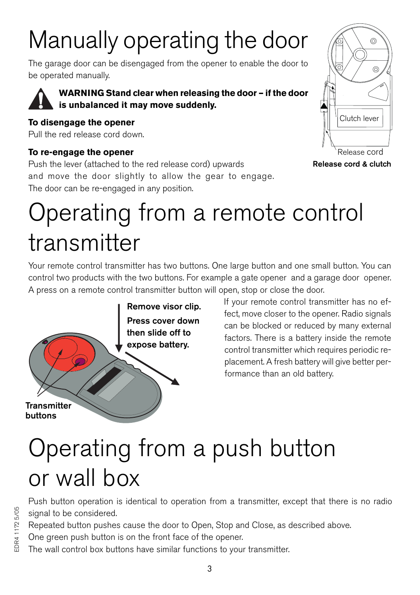# Manually operating the door

The garage door can be disengaged from the opener to enable the door to be operated manually.



**WARNING Stand clear when releasing the door – if the door is unbalanced it may move suddenly.**

### **To disengage the opener**

Pull the red release cord down.

### **To re-engage the opener**

Push the lever (attached to the red release cord) upwards and move the door slightly to allow the gear to engage. The door can be re-engaged in any position.



**Release cord & clutch**

# Operating from a remote control transmitter

Your remote control transmitter has two buttons. One large button and one small button. You can control two products with the two buttons. For example a gate opener and a garage door opener. A press on a remote control transmitter button will open, stop or close the door.



If your remote control transmitter has no effect, move closer to the opener. Radio signals can be blocked or reduced by many external factors. There is a battery inside the remote control transmitter which requires periodic replacement. A fresh battery will give better performance than an old battery.

# Operating from a push button or wall box

Push button operation is identical to operation from a transmitter, except that there is no radio signal to be considered.

Repeated button pushes cause the door to Open, Stop and Close, as described above.

One green push button is on the front face of the opener.

The wall control box buttons have similar functions to your transmitter.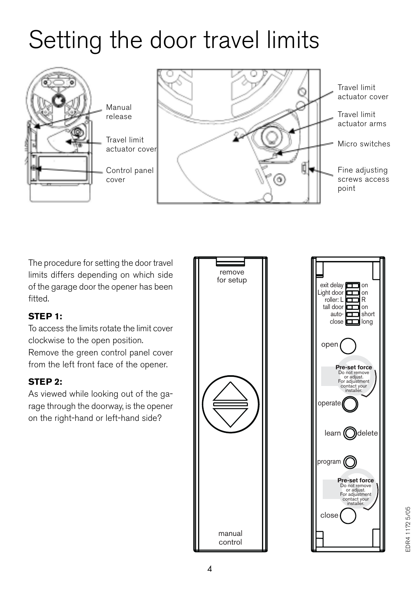### Setting the door travel limits



The procedure for setting the door travel limits differs depending on which side of the garage door the opener has been fitted.

### **STEP 1:**

To access the limits rotate the limit cover clockwise to the open position.

Remove the green control panel cover from the left front face of the opener.

### **STEP 2:**

As viewed while looking out of the garage through the doorway, is the opener on the right-hand or left-hand side?



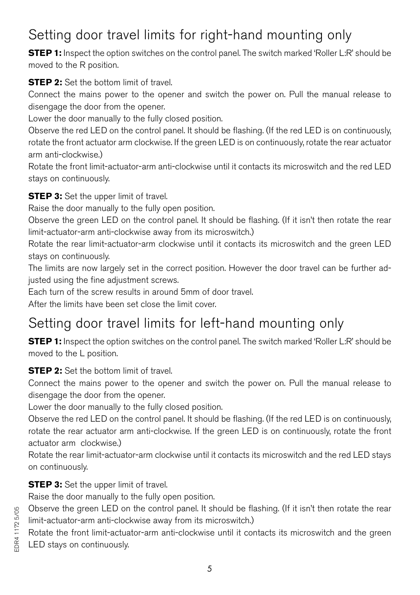### Setting door travel limits for right-hand mounting only

**STEP 1:** Inspect the option switches on the control panel. The switch marked 'Roller L:R' should be moved to the R position.

**STEP 2:** Set the bottom limit of travel

Connect the mains power to the opener and switch the power on. Pull the manual release to disengage the door from the opener.

Lower the door manually to the fully closed position.

Observe the red LED on the control panel. It should be flashing. (If the red LED is on continuously, rotate the front actuator arm clockwise. If the green LED is on continuously, rotate the rear actuator arm anti-clockwise.)

Rotate the front limit-actuator-arm anti-clockwise until it contacts its microswitch and the red LED stays on continuously.

**STEP 3:** Set the upper limit of travel.

Raise the door manually to the fully open position.

Observe the green LED on the control panel. It should be flashing. (If it isn't then rotate the rear limit-actuator-arm anti-clockwise away from its microswitch.)

Rotate the rear limit-actuator-arm clockwise until it contacts its microswitch and the green LED stays on continuously.

The limits are now largely set in the correct position. However the door travel can be further adjusted using the fine adjustment screws.

Each turn of the screw results in around 5mm of door travel.

After the limits have been set close the limit cover.

### Setting door travel limits for left-hand mounting only

**STEP 1:** Inspect the option switches on the control panel. The switch marked 'Roller L:R' should be moved to the L position.

### **STEP 2:** Set the bottom limit of travel.

Connect the mains power to the opener and switch the power on. Pull the manual release to disengage the door from the opener.

Lower the door manually to the fully closed position.

Observe the red LED on the control panel. It should be flashing. (If the red LED is on continuously, rotate the rear actuator arm anti-clockwise. If the green LED is on continuously, rotate the front actuator arm clockwise.)

Rotate the rear limit-actuator-arm clockwise until it contacts its microswitch and the red LED stays on continuously.

**STEP 3:** Set the upper limit of travel.

Raise the door manually to the fully open position.

Observe the green LED on the control panel. It should be flashing. (If it isn't then rotate the rear limit-actuator-arm anti-clockwise away from its microswitch.)

Rotate the front limit-actuator-arm anti-clockwise until it contacts its microswitch and the green LED stays on continuously.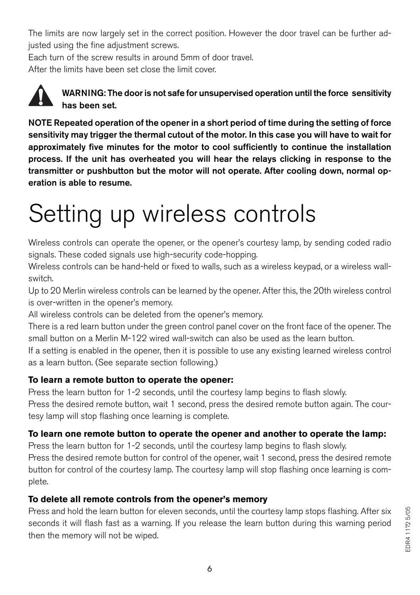The limits are now largely set in the correct position. However the door travel can be further adjusted using the fine adjustment screws.

Each turn of the screw results in around 5mm of door travel.

After the limits have been set close the limit cover.



**WARNING: The door is not safe for unsupervised operation until the force sensitivity has been set.**

**NOTE Repeated operation of the opener in a short period of time during the setting of force sensitivity may trigger the thermal cutout of the motor. In this case you will have to wait for approximately five minutes for the motor to cool sufficiently to continue the installation process. If the unit has overheated you will hear the relays clicking in response to the transmitter or pushbutton but the motor will not operate. After cooling down, normal operation is able to resume.**

# Setting up wireless controls

Wireless controls can operate the opener, or the opener's courtesy lamp, by sending coded radio signals. These coded signals use high-security code-hopping.

Wireless controls can be hand-held or fixed to walls, such as a wireless keypad, or a wireless wallswitch.

Up to 20 Merlin wireless controls can be learned by the opener. After this, the 20th wireless control is over-written in the opener's memory.

All wireless controls can be deleted from the opener's memory.

There is a red learn button under the green control panel cover on the front face of the opener. The small button on a Merlin M-122 wired wall-switch can also be used as the learn button.

If a setting is enabled in the opener, then it is possible to use any existing learned wireless control as a learn button. (See separate section following.)

### **To learn a remote button to operate the opener:**

Press the learn button for 1-2 seconds, until the courtesy lamp begins to flash slowly. Press the desired remote button, wait 1 second, press the desired remote button again. The courtesy lamp will stop flashing once learning is complete.

### **To learn one remote button to operate the opener and another to operate the lamp:**

Press the learn button for 1-2 seconds, until the courtesy lamp begins to flash slowly.

Press the desired remote button for control of the opener, wait 1 second, press the desired remote button for control of the courtesy lamp. The courtesy lamp will stop flashing once learning is complete.

### **To delete all remote controls from the opener's memory**

Press and hold the learn button for eleven seconds, until the courtesy lamp stops flashing. After six seconds it will flash fast as a warning. If you release the learn button during this warning period then the memory will not be wiped.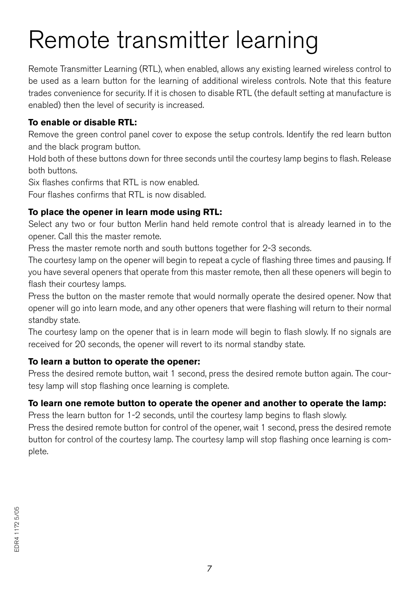# Remote transmitter learning

Remote Transmitter Learning (RTL), when enabled, allows any existing learned wireless control to be used as a learn button for the learning of additional wireless controls. Note that this feature trades convenience for security. If it is chosen to disable RTL (the default setting at manufacture is enabled) then the level of security is increased.

### **To enable or disable RTL:**

Remove the green control panel cover to expose the setup controls. Identify the red learn button and the black program button.

Hold both of these buttons down for three seconds until the courtesy lamp begins to flash. Release both buttons.

Six flashes confirms that RTL is now enabled.

Four flashes confirms that RTL is now disabled.

### **To place the opener in learn mode using RTL:**

Select any two or four button Merlin hand held remote control that is already learned in to the opener. Call this the master remote.

Press the master remote north and south buttons together for 2-3 seconds.

The courtesy lamp on the opener will begin to repeat a cycle of flashing three times and pausing. If you have several openers that operate from this master remote, then all these openers will begin to flash their courtesy lamps.

Press the button on the master remote that would normally operate the desired opener. Now that opener will go into learn mode, and any other openers that were flashing will return to their normal standby state.

The courtesy lamp on the opener that is in learn mode will begin to flash slowly. If no signals are received for 20 seconds, the opener will revert to its normal standby state.

### **To learn a button to operate the opener:**

Press the desired remote button, wait 1 second, press the desired remote button again. The courtesy lamp will stop flashing once learning is complete.

### **To learn one remote button to operate the opener and another to operate the lamp:**

Press the learn button for 1-2 seconds, until the courtesy lamp begins to flash slowly.

Press the desired remote button for control of the opener, wait 1 second, press the desired remote button for control of the courtesy lamp. The courtesy lamp will stop flashing once learning is complete.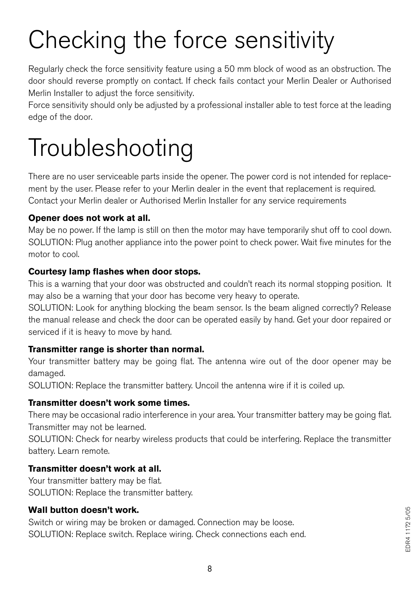# Checking the force sensitivity

Regularly check the force sensitivity feature using a 50 mm block of wood as an obstruction. The door should reverse promptly on contact. If check fails contact your Merlin Dealer or Authorised Merlin Installer to adjust the force sensitivity.

Force sensitivity should only be adjusted by a professional installer able to test force at the leading edge of the door.

# Troubleshooting

There are no user serviceable parts inside the opener. The power cord is not intended for replacement by the user. Please refer to your Merlin dealer in the event that replacement is required. Contact your Merlin dealer or Authorised Merlin Installer for any service requirements

### **Opener does not work at all.**

May be no power. If the lamp is still on then the motor may have temporarily shut off to cool down. SOLUTION: Plug another appliance into the power point to check power. Wait five minutes for the motor to cool.

### **Courtesy lamp flashes when door stops.**

This is a warning that your door was obstructed and couldn't reach its normal stopping position. It may also be a warning that your door has become very heavy to operate.

SOLUTION: Look for anything blocking the beam sensor. Is the beam aligned correctly? Release the manual release and check the door can be operated easily by hand. Get your door repaired or serviced if it is heavy to move by hand.

### **Transmitter range is shorter than normal.**

Your transmitter battery may be going flat. The antenna wire out of the door opener may be damaged.

SOLUTION: Replace the transmitter battery. Uncoil the antenna wire if it is coiled up.

### **Transmitter doesn't work some times.**

There may be occasional radio interference in your area. Your transmitter battery may be going flat. Transmitter may not be learned.

SOLUTION: Check for nearby wireless products that could be interfering. Replace the transmitter battery. Learn remote.

### **Transmitter doesn't work at all.**

Your transmitter battery may be flat. SOLUTION: Replace the transmitter battery.

### **Wall button doesn't work.**

Switch or wiring may be broken or damaged. Connection may be loose. SOLUTION: Replace switch. Replace wiring. Check connections each end.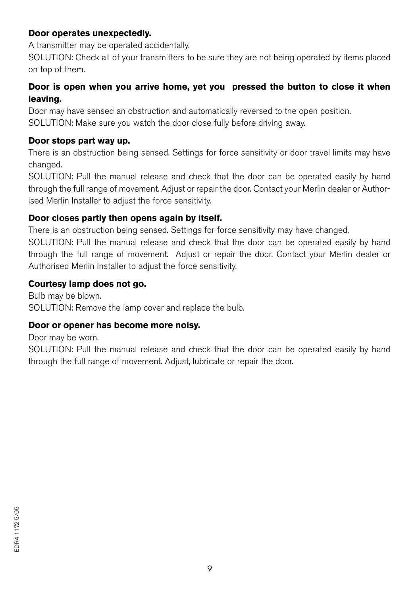#### **Door operates unexpectedly.**

A transmitter may be operated accidentally.

SOLUTION: Check all of your transmitters to be sure they are not being operated by items placed on top of them.

### **Door is open when you arrive home, yet you pressed the button to close it when leaving.**

Door may have sensed an obstruction and automatically reversed to the open position. SOLUTION: Make sure you watch the door close fully before driving away.

#### **Door stops part way up.**

There is an obstruction being sensed. Settings for force sensitivity or door travel limits may have changed.

SOLUTION: Pull the manual release and check that the door can be operated easily by hand through the full range of movement. Adjust or repair the door. Contact your Merlin dealer or Authorised Merlin Installer to adjust the force sensitivity.

#### **Door closes partly then opens again by itself.**

There is an obstruction being sensed. Settings for force sensitivity may have changed.

SOLUTION: Pull the manual release and check that the door can be operated easily by hand through the full range of movement. Adjust or repair the door. Contact your Merlin dealer or Authorised Merlin Installer to adjust the force sensitivity.

#### **Courtesy lamp does not go.**

Bulb may be blown. SOLUTION: Remove the lamp cover and replace the bulb.

#### **Door or opener has become more noisy.**

Door may be worn.

SOLUTION: Pull the manual release and check that the door can be operated easily by hand through the full range of movement. Adjust, lubricate or repair the door.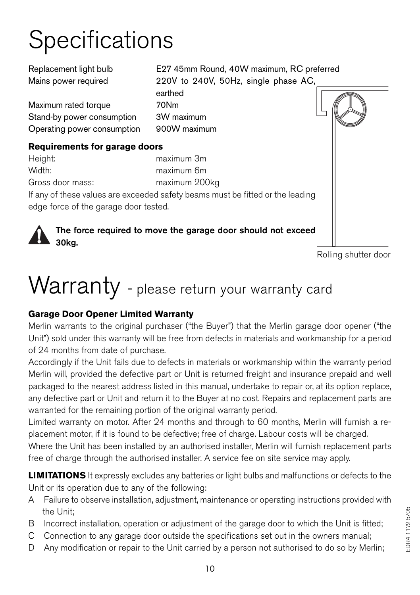# **Specifications**

| Replacement light bulb                | E27 45mm Round, 40W maximum, RC preferred                                      |
|---------------------------------------|--------------------------------------------------------------------------------|
| Mains power required                  | 220V to 240V, 50Hz, single phase AC,                                           |
|                                       | earthed                                                                        |
| Maximum rated torque                  | 70Nm                                                                           |
| Stand-by power consumption            | 3W maximum                                                                     |
| Operating power consumption           | 900W maximum                                                                   |
| Requirements for garage doors         |                                                                                |
| Height:                               | maximum 3m                                                                     |
| Width:                                | maximum 6m                                                                     |
| Gross door mass:                      | maximum 200kg                                                                  |
|                                       | If any of these values are exceeded safety beams must be fitted or the leading |
| edge force of the garage door tested. |                                                                                |
|                                       |                                                                                |
|                                       | The force required to move the garage door should not exceed                   |
| 30ka.                                 |                                                                                |

Rolling shutter door

### Warranty - please return your warranty card

### **Garage Door Opener Limited Warranty**

Merlin warrants to the original purchaser ("the Buyer") that the Merlin garage door opener ("the Unit") sold under this warranty will be free from defects in materials and workmanship for a period of 24 months from date of purchase.

Accordingly if the Unit fails due to defects in materials or workmanship within the warranty period Merlin will, provided the defective part or Unit is returned freight and insurance prepaid and well packaged to the nearest address listed in this manual, undertake to repair or, at its option replace, any defective part or Unit and return it to the Buyer at no cost. Repairs and replacement parts are warranted for the remaining portion of the original warranty period.

Limited warranty on motor. After 24 months and through to 60 months, Merlin will furnish a replacement motor, if it is found to be defective; free of charge. Labour costs will be charged.

Where the Unit has been installed by an authorised installer, Merlin will furnish replacement parts free of charge through the authorised installer. A service fee on site service may apply.

**LIMITATIONS** It expressly excludes any batteries or light bulbs and malfunctions or defects to the Unit or its operation due to any of the following:

- A Failure to observe installation, adjustment, maintenance or operating instructions provided with the Unit;
- B Incorrect installation, operation or adjustment of the garage door to which the Unit is fitted;
- C Connection to any garage door outside the specifications set out in the owners manual;
- D Any modification or repair to the Unit carried by a person not authorised to do so by Merlin;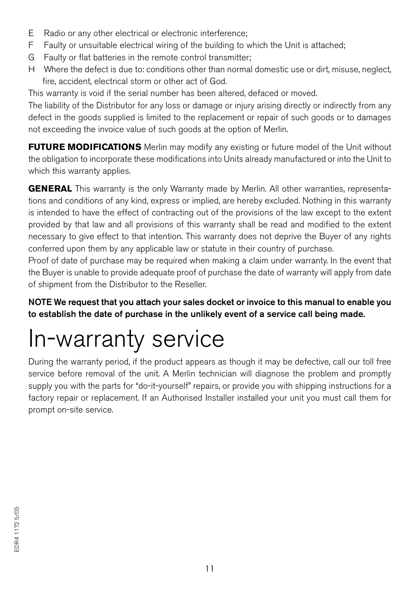- E Radio or any other electrical or electronic interference;
- F Faulty or unsuitable electrical wiring of the building to which the Unit is attached;
- G Faulty or flat batteries in the remote control transmitter;
- H Where the defect is due to: conditions other than normal domestic use or dirt, misuse, neglect, fire, accident, electrical storm or other act of God.

This warranty is void if the serial number has been altered, defaced or moved.

The liability of the Distributor for any loss or damage or injury arising directly or indirectly from any defect in the goods supplied is limited to the replacement or repair of such goods or to damages not exceeding the invoice value of such goods at the option of Merlin.

**FUTURE MODIFICATIONS** Merlin may modify any existing or future model of the Unit without the obligation to incorporate these modifications into Units already manufactured or into the Unit to which this warranty applies.

**GENERAL** This warranty is the only Warranty made by Merlin. All other warranties, representations and conditions of any kind, express or implied, are hereby excluded. Nothing in this warranty is intended to have the effect of contracting out of the provisions of the law except to the extent provided by that law and all provisions of this warranty shall be read and modified to the extent necessary to give effect to that intention. This warranty does not deprive the Buyer of any rights conferred upon them by any applicable law or statute in their country of purchase.

Proof of date of purchase may be required when making a claim under warranty. In the event that the Buyer is unable to provide adequate proof of purchase the date of warranty will apply from date of shipment from the Distributor to the Reseller.

**NOTE We request that you attach your sales docket or invoice to this manual to enable you to establish the date of purchase in the unlikely event of a service call being made.**

### In-warranty service

During the warranty period, if the product appears as though it may be defective, call our toll free service before removal of the unit. A Merlin technician will diagnose the problem and promptly supply you with the parts for "do-it-yourself" repairs, or provide you with shipping instructions for a factory repair or replacement. If an Authorised Installer installed your unit you must call them for prompt on-site service.